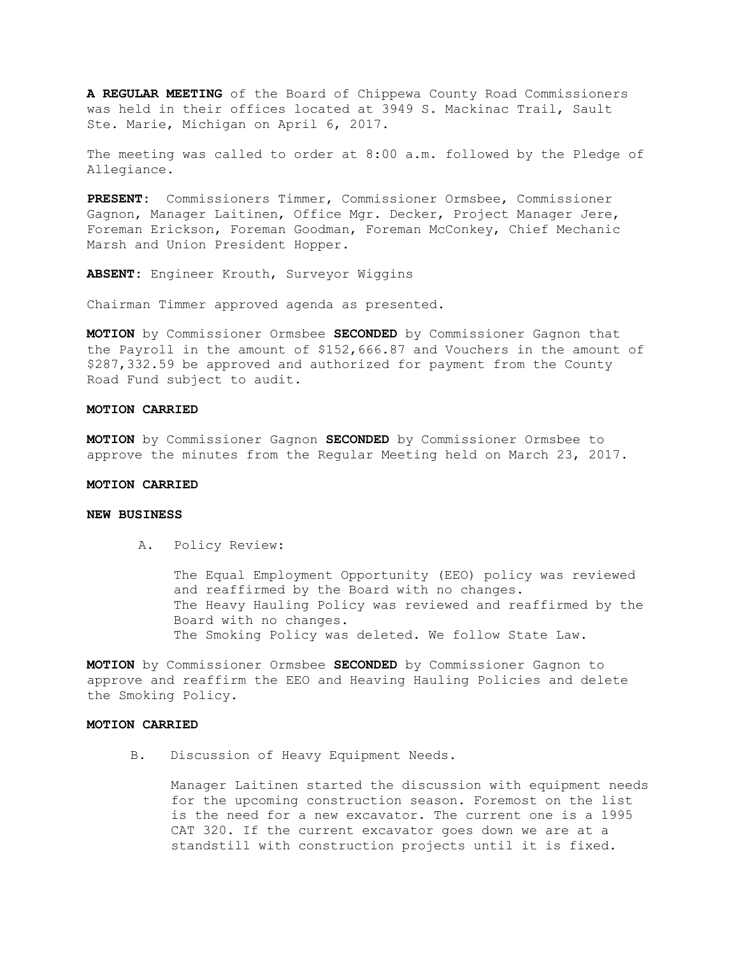**A REGULAR MEETING** of the Board of Chippewa County Road Commissioners was held in their offices located at 3949 S. Mackinac Trail, Sault Ste. Marie, Michigan on April 6, 2017.

The meeting was called to order at 8:00 a.m. followed by the Pledge of Allegiance.

**PRESENT:** Commissioners Timmer, Commissioner Ormsbee, Commissioner Gagnon, Manager Laitinen, Office Mgr. Decker, Project Manager Jere, Foreman Erickson, Foreman Goodman, Foreman McConkey, Chief Mechanic Marsh and Union President Hopper.

**ABSENT:** Engineer Krouth, Surveyor Wiggins

Chairman Timmer approved agenda as presented.

**MOTION** by Commissioner Ormsbee **SECONDED** by Commissioner Gagnon that the Payroll in the amount of \$152,666.87 and Vouchers in the amount of \$287,332.59 be approved and authorized for payment from the County Road Fund subject to audit.

### **MOTION CARRIED**

**MOTION** by Commissioner Gagnon **SECONDED** by Commissioner Ormsbee to approve the minutes from the Regular Meeting held on March 23, 2017.

# **MOTION CARRIED**

# **NEW BUSINESS**

A. Policy Review:

The Equal Employment Opportunity (EEO) policy was reviewed and reaffirmed by the Board with no changes. The Heavy Hauling Policy was reviewed and reaffirmed by the Board with no changes. The Smoking Policy was deleted. We follow State Law.

**MOTION** by Commissioner Ormsbee **SECONDED** by Commissioner Gagnon to approve and reaffirm the EEO and Heaving Hauling Policies and delete the Smoking Policy.

### **MOTION CARRIED**

B. Discussion of Heavy Equipment Needs.

Manager Laitinen started the discussion with equipment needs for the upcoming construction season. Foremost on the list is the need for a new excavator. The current one is a 1995 CAT 320. If the current excavator goes down we are at a standstill with construction projects until it is fixed.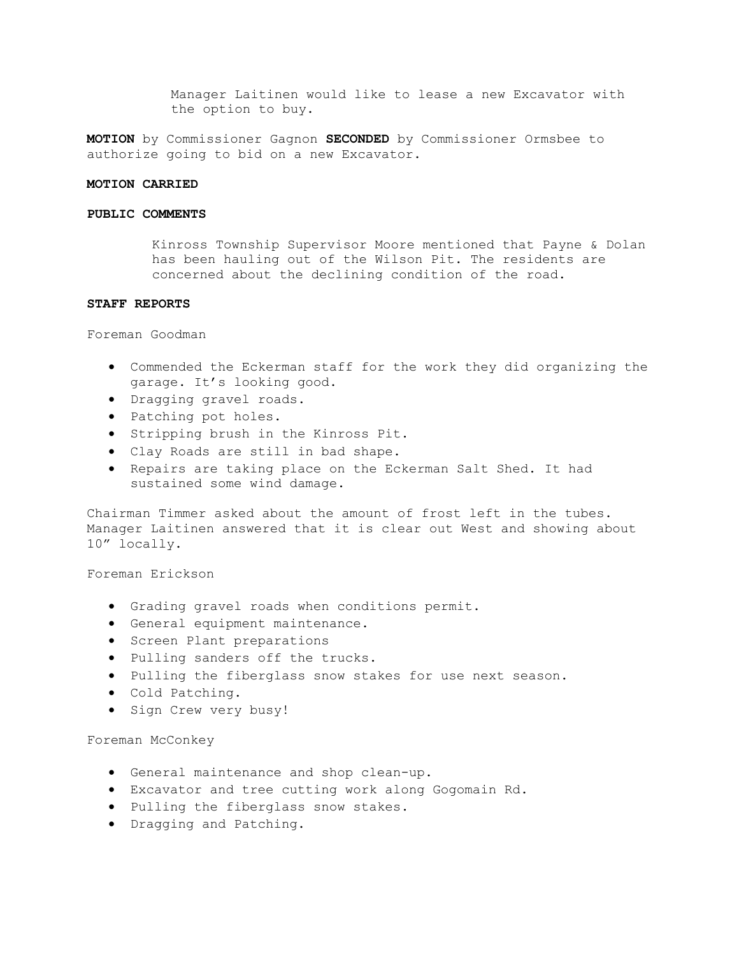Manager Laitinen would like to lease a new Excavator with the option to buy.

**MOTION** by Commissioner Gagnon **SECONDED** by Commissioner Ormsbee to authorize going to bid on a new Excavator.

#### **MOTION CARRIED**

### **PUBLIC COMMENTS**

Kinross Township Supervisor Moore mentioned that Payne & Dolan has been hauling out of the Wilson Pit. The residents are concerned about the declining condition of the road.

# **STAFF REPORTS**

Foreman Goodman

- Commended the Eckerman staff for the work they did organizing the garage. It's looking good.
- Dragging gravel roads.
- Patching pot holes.
- Stripping brush in the Kinross Pit.
- Clay Roads are still in bad shape.
- Repairs are taking place on the Eckerman Salt Shed. It had sustained some wind damage.

Chairman Timmer asked about the amount of frost left in the tubes. Manager Laitinen answered that it is clear out West and showing about 10" locally.

Foreman Erickson

- Grading gravel roads when conditions permit.
- General equipment maintenance.
- Screen Plant preparations
- Pulling sanders off the trucks.
- Pulling the fiberglass snow stakes for use next season.
- Cold Patching.
- Sign Crew very busy!

### Foreman McConkey

- General maintenance and shop clean-up.
- Excavator and tree cutting work along Gogomain Rd.
- Pulling the fiberglass snow stakes.
- Dragging and Patching.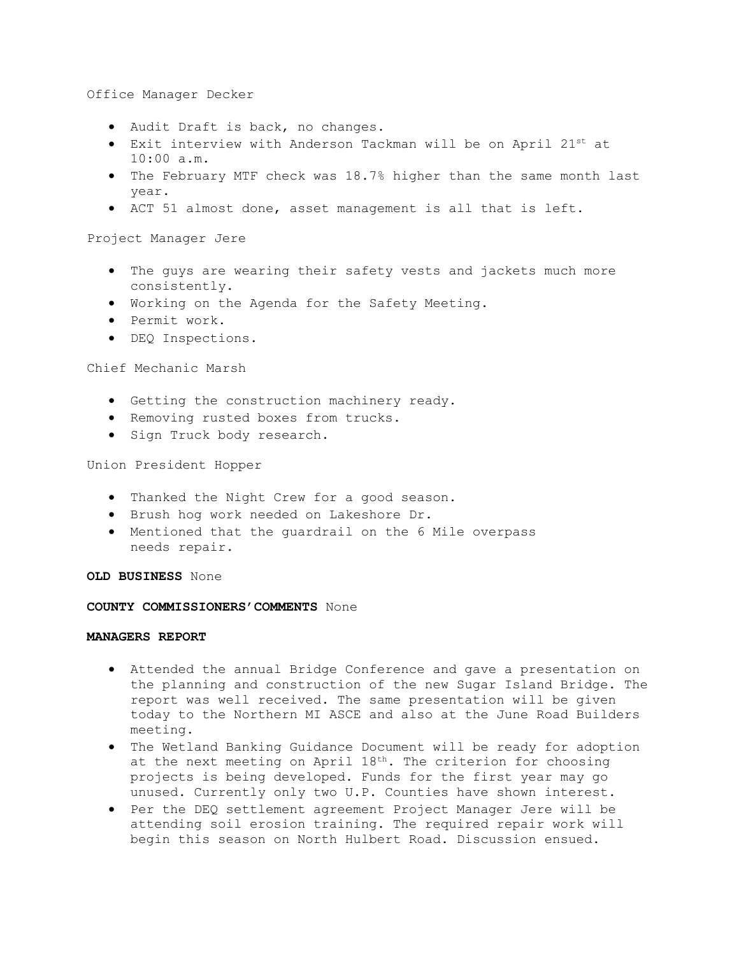Office Manager Decker

- Audit Draft is back, no changes.
- Exit interview with Anderson Tackman will be on April 21st at 10:00 a.m.
- The February MTF check was 18.7% higher than the same month last year.
- ACT 51 almost done, asset management is all that is left.

Project Manager Jere

- The guys are wearing their safety vests and jackets much more consistently.
- Working on the Agenda for the Safety Meeting.
- Permit work.
- DEQ Inspections.

Chief Mechanic Marsh

- Getting the construction machinery ready.
- Removing rusted boxes from trucks.
- Sign Truck body research.

Union President Hopper

- Thanked the Night Crew for a good season.
- Brush hog work needed on Lakeshore Dr.
- Mentioned that the guardrail on the 6 Mile overpass needs repair.

**OLD BUSINESS** None

### **COUNTY COMMISSIONERS'COMMENTS** None

# **MANAGERS REPORT**

- Attended the annual Bridge Conference and gave a presentation on the planning and construction of the new Sugar Island Bridge. The report was well received. The same presentation will be given today to the Northern MI ASCE and also at the June Road Builders meeting.
- The Wetland Banking Guidance Document will be ready for adoption at the next meeting on April 18<sup>th</sup>. The criterion for choosing projects is being developed. Funds for the first year may go unused. Currently only two U.P. Counties have shown interest.
- Per the DEQ settlement agreement Project Manager Jere will be attending soil erosion training. The required repair work will begin this season on North Hulbert Road. Discussion ensued.